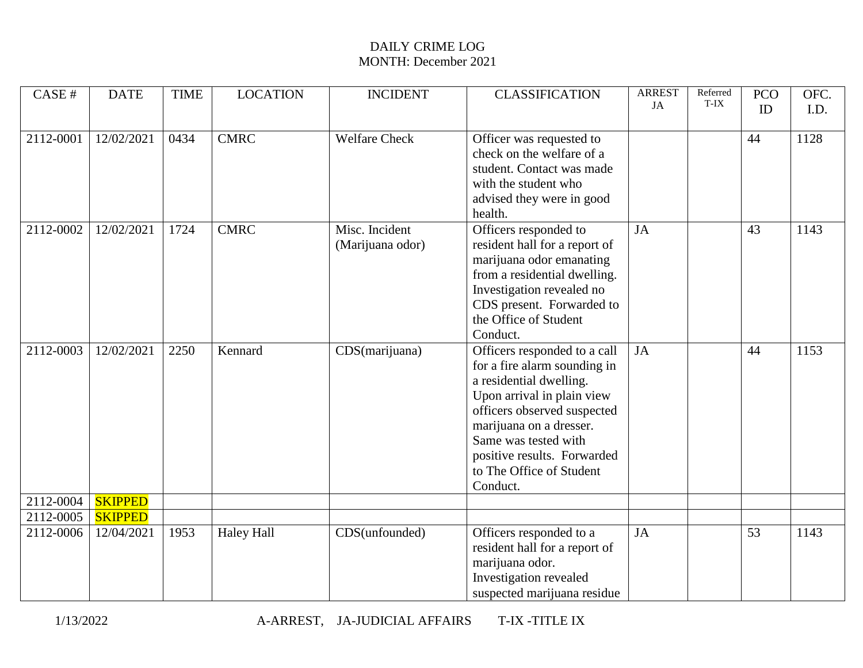| CASE#     | <b>DATE</b>    | <b>TIME</b> | <b>LOCATION</b>   | <b>INCIDENT</b>                    | <b>CLASSIFICATION</b>                                                                                                                                                                                                                                                          | <b>ARREST</b> | Referred<br>T-IX | <b>PCO</b> | OFC. |
|-----------|----------------|-------------|-------------------|------------------------------------|--------------------------------------------------------------------------------------------------------------------------------------------------------------------------------------------------------------------------------------------------------------------------------|---------------|------------------|------------|------|
|           |                |             |                   |                                    |                                                                                                                                                                                                                                                                                | JA            |                  | ID         | I.D. |
| 2112-0001 | 12/02/2021     | 0434        | CMRC              | <b>Welfare Check</b>               | Officer was requested to<br>check on the welfare of a<br>student. Contact was made<br>with the student who<br>advised they were in good<br>health.                                                                                                                             |               |                  | 44         | 1128 |
| 2112-0002 | 12/02/2021     | 1724        | <b>CMRC</b>       | Misc. Incident<br>(Marijuana odor) | Officers responded to<br>resident hall for a report of<br>marijuana odor emanating<br>from a residential dwelling.<br>Investigation revealed no<br>CDS present. Forwarded to<br>the Office of Student<br>Conduct.                                                              | <b>JA</b>     |                  | 43         | 1143 |
| 2112-0003 | 12/02/2021     | 2250        | Kennard           | CDS(marijuana)                     | Officers responded to a call<br>for a fire alarm sounding in<br>a residential dwelling.<br>Upon arrival in plain view<br>officers observed suspected<br>marijuana on a dresser.<br>Same was tested with<br>positive results. Forwarded<br>to The Office of Student<br>Conduct. | JA            |                  | 44         | 1153 |
| 2112-0004 | <b>SKIPPED</b> |             |                   |                                    |                                                                                                                                                                                                                                                                                |               |                  |            |      |
| 2112-0005 | <b>SKIPPED</b> |             |                   |                                    |                                                                                                                                                                                                                                                                                |               |                  |            |      |
| 2112-0006 | 12/04/2021     | 1953        | <b>Haley Hall</b> | CDS(unfounded)                     | Officers responded to a<br>resident hall for a report of<br>marijuana odor.<br>Investigation revealed<br>suspected marijuana residue                                                                                                                                           | JA            |                  | 53         | 1143 |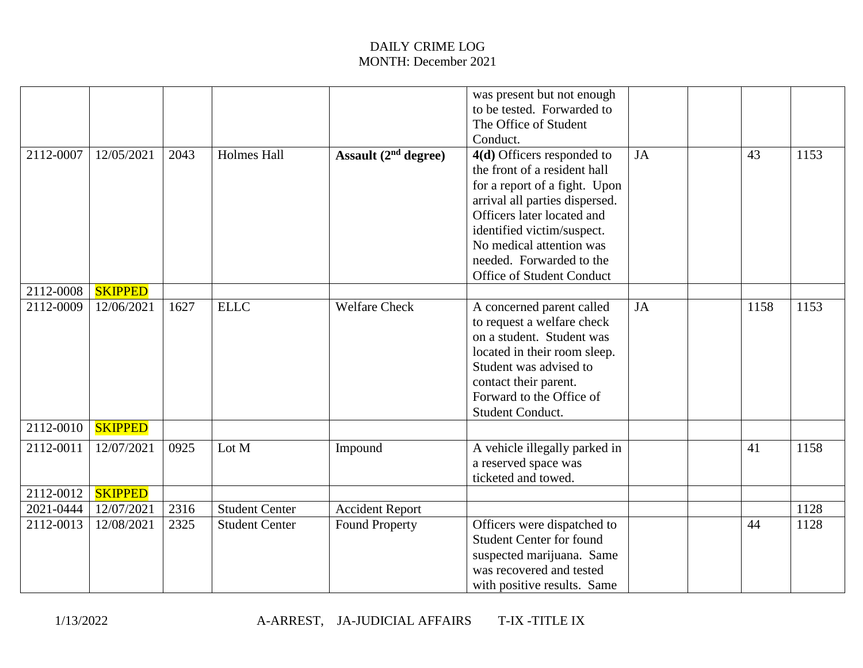|           |                |      |                       |                        | was present but not enough<br>to be tested. Forwarded to<br>The Office of Student                                                                                                                                       |    |      |      |
|-----------|----------------|------|-----------------------|------------------------|-------------------------------------------------------------------------------------------------------------------------------------------------------------------------------------------------------------------------|----|------|------|
|           |                |      |                       |                        | Conduct.                                                                                                                                                                                                                |    |      |      |
| 2112-0007 | 12/05/2021     | 2043 | <b>Holmes Hall</b>    | Assault $(2nd degree)$ | $4(d)$ Officers responded to<br>the front of a resident hall<br>for a report of a fight. Upon<br>arrival all parties dispersed.<br>Officers later located and<br>identified victim/suspect.                             | JA | 43   | 1153 |
|           |                |      |                       |                        | No medical attention was                                                                                                                                                                                                |    |      |      |
|           |                |      |                       |                        | needed. Forwarded to the<br><b>Office of Student Conduct</b>                                                                                                                                                            |    |      |      |
| 2112-0008 | <b>SKIPPED</b> |      |                       |                        |                                                                                                                                                                                                                         |    |      |      |
| 2112-0009 | 12/06/2021     | 1627 | <b>ELLC</b>           | <b>Welfare Check</b>   | A concerned parent called<br>to request a welfare check<br>on a student. Student was<br>located in their room sleep.<br>Student was advised to<br>contact their parent.<br>Forward to the Office of<br>Student Conduct. | JA | 1158 | 1153 |
| 2112-0010 | <b>SKIPPED</b> |      |                       |                        |                                                                                                                                                                                                                         |    |      |      |
| 2112-0011 | 12/07/2021     | 0925 | Lot M                 | Impound                | A vehicle illegally parked in<br>a reserved space was<br>ticketed and towed.                                                                                                                                            |    | 41   | 1158 |
| 2112-0012 | <b>SKIPPED</b> |      |                       |                        |                                                                                                                                                                                                                         |    |      |      |
| 2021-0444 | 12/07/2021     | 2316 | <b>Student Center</b> | <b>Accident Report</b> |                                                                                                                                                                                                                         |    |      | 1128 |
| 2112-0013 | 12/08/2021     | 2325 | <b>Student Center</b> | <b>Found Property</b>  | Officers were dispatched to<br><b>Student Center for found</b><br>suspected marijuana. Same<br>was recovered and tested<br>with positive results. Same                                                                  |    | 44   | 1128 |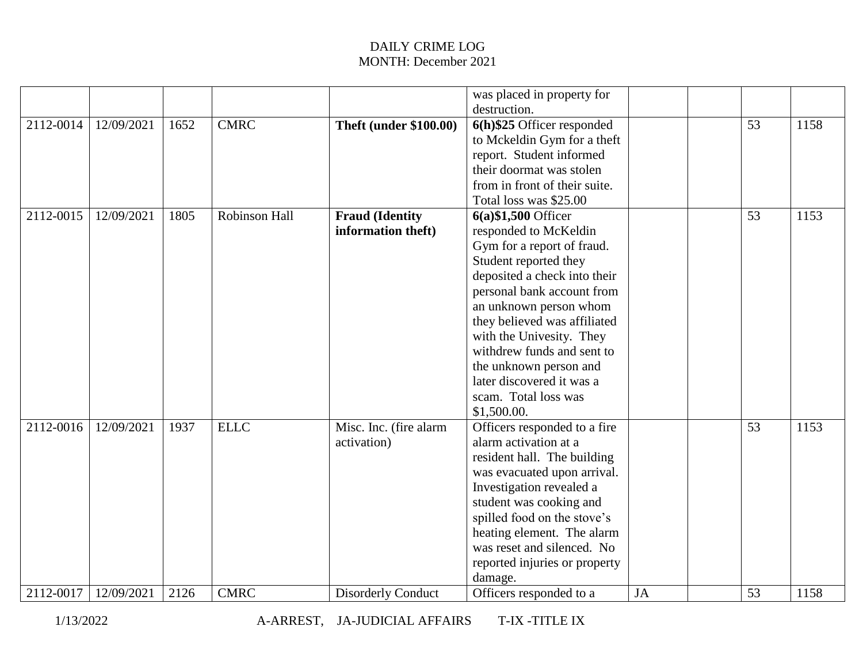|           |            |      |               |                               | was placed in property for    |    |    |      |
|-----------|------------|------|---------------|-------------------------------|-------------------------------|----|----|------|
|           |            |      |               |                               | destruction.                  |    |    |      |
| 2112-0014 | 12/09/2021 | 1652 | <b>CMRC</b>   | <b>Theft (under \$100.00)</b> | 6(h)\$25 Officer responded    |    | 53 | 1158 |
|           |            |      |               |                               | to Mckeldin Gym for a theft   |    |    |      |
|           |            |      |               |                               | report. Student informed      |    |    |      |
|           |            |      |               |                               | their doormat was stolen      |    |    |      |
|           |            |      |               |                               | from in front of their suite. |    |    |      |
|           |            |      |               |                               | Total loss was \$25.00        |    |    |      |
| 2112-0015 | 12/09/2021 | 1805 | Robinson Hall | <b>Fraud (Identity</b>        | $6(a)$ \$1,500 Officer        |    | 53 | 1153 |
|           |            |      |               | information theft)            | responded to McKeldin         |    |    |      |
|           |            |      |               |                               | Gym for a report of fraud.    |    |    |      |
|           |            |      |               |                               | Student reported they         |    |    |      |
|           |            |      |               |                               | deposited a check into their  |    |    |      |
|           |            |      |               |                               | personal bank account from    |    |    |      |
|           |            |      |               |                               | an unknown person whom        |    |    |      |
|           |            |      |               |                               | they believed was affiliated  |    |    |      |
|           |            |      |               |                               | with the Univesity. They      |    |    |      |
|           |            |      |               |                               | withdrew funds and sent to    |    |    |      |
|           |            |      |               |                               | the unknown person and        |    |    |      |
|           |            |      |               |                               | later discovered it was a     |    |    |      |
|           |            |      |               |                               | scam. Total loss was          |    |    |      |
|           |            |      |               |                               | \$1,500.00.                   |    |    |      |
| 2112-0016 | 12/09/2021 | 1937 | <b>ELLC</b>   | Misc. Inc. (fire alarm        | Officers responded to a fire  |    | 53 | 1153 |
|           |            |      |               | activation)                   | alarm activation at a         |    |    |      |
|           |            |      |               |                               | resident hall. The building   |    |    |      |
|           |            |      |               |                               | was evacuated upon arrival.   |    |    |      |
|           |            |      |               |                               | Investigation revealed a      |    |    |      |
|           |            |      |               |                               | student was cooking and       |    |    |      |
|           |            |      |               |                               | spilled food on the stove's   |    |    |      |
|           |            |      |               |                               | heating element. The alarm    |    |    |      |
|           |            |      |               |                               | was reset and silenced. No    |    |    |      |
|           |            |      |               |                               | reported injuries or property |    |    |      |
|           |            |      |               |                               | damage.                       |    |    |      |
| 2112-0017 | 12/09/2021 | 2126 | <b>CMRC</b>   | <b>Disorderly Conduct</b>     | Officers responded to a       | JA | 53 | 1158 |

1/13/2022 A-ARREST, JA-JUDICIAL AFFAIRS T-IX -TITLE IX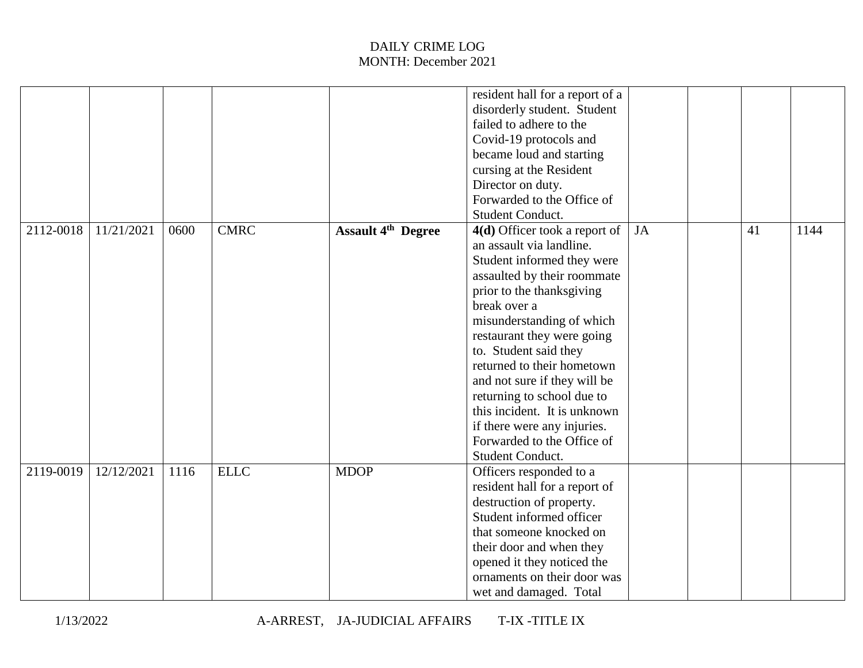|           |            |      |             |                           | resident hall for a report of a |    |    |      |
|-----------|------------|------|-------------|---------------------------|---------------------------------|----|----|------|
|           |            |      |             |                           | disorderly student. Student     |    |    |      |
|           |            |      |             |                           | failed to adhere to the         |    |    |      |
|           |            |      |             |                           | Covid-19 protocols and          |    |    |      |
|           |            |      |             |                           | became loud and starting        |    |    |      |
|           |            |      |             |                           | cursing at the Resident         |    |    |      |
|           |            |      |             |                           | Director on duty.               |    |    |      |
|           |            |      |             |                           | Forwarded to the Office of      |    |    |      |
|           |            |      |             |                           | Student Conduct.                |    |    |      |
| 2112-0018 | 11/21/2021 | 0600 | <b>CMRC</b> | <b>Assault 4th Degree</b> | 4(d) Officer took a report of   | JA | 41 | 1144 |
|           |            |      |             |                           | an assault via landline.        |    |    |      |
|           |            |      |             |                           | Student informed they were      |    |    |      |
|           |            |      |             |                           | assaulted by their roommate     |    |    |      |
|           |            |      |             |                           | prior to the thanksgiving       |    |    |      |
|           |            |      |             |                           | break over a                    |    |    |      |
|           |            |      |             |                           | misunderstanding of which       |    |    |      |
|           |            |      |             |                           | restaurant they were going      |    |    |      |
|           |            |      |             |                           | to. Student said they           |    |    |      |
|           |            |      |             |                           | returned to their hometown      |    |    |      |
|           |            |      |             |                           | and not sure if they will be    |    |    |      |
|           |            |      |             |                           | returning to school due to      |    |    |      |
|           |            |      |             |                           | this incident. It is unknown    |    |    |      |
|           |            |      |             |                           | if there were any injuries.     |    |    |      |
|           |            |      |             |                           | Forwarded to the Office of      |    |    |      |
|           |            |      |             |                           | Student Conduct.                |    |    |      |
| 2119-0019 | 12/12/2021 | 1116 | <b>ELLC</b> | <b>MDOP</b>               | Officers responded to a         |    |    |      |
|           |            |      |             |                           | resident hall for a report of   |    |    |      |
|           |            |      |             |                           | destruction of property.        |    |    |      |
|           |            |      |             |                           | Student informed officer        |    |    |      |
|           |            |      |             |                           | that someone knocked on         |    |    |      |
|           |            |      |             |                           | their door and when they        |    |    |      |
|           |            |      |             |                           | opened it they noticed the      |    |    |      |
|           |            |      |             |                           | ornaments on their door was     |    |    |      |
|           |            |      |             |                           | wet and damaged. Total          |    |    |      |
|           |            |      |             |                           |                                 |    |    |      |

1/13/2022 A-ARREST, JA-JUDICIAL AFFAIRS T-IX -TITLE IX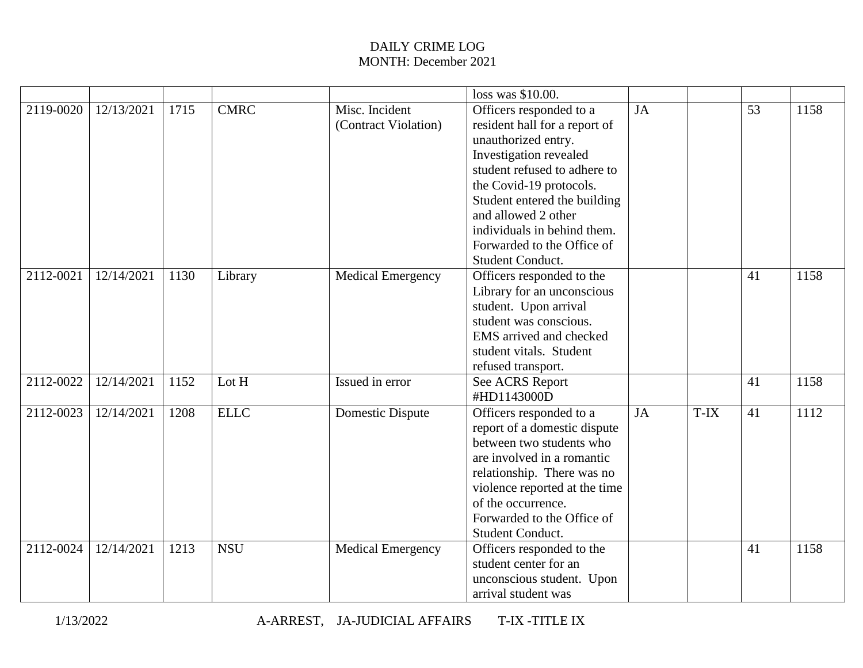|           |            |      |             |                                        | loss was \$10.00.                                                                                                                                                                                                                                                                                            |    |      |    |      |
|-----------|------------|------|-------------|----------------------------------------|--------------------------------------------------------------------------------------------------------------------------------------------------------------------------------------------------------------------------------------------------------------------------------------------------------------|----|------|----|------|
| 2119-0020 | 12/13/2021 | 1715 | <b>CMRC</b> | Misc. Incident<br>(Contract Violation) | Officers responded to a<br>resident hall for a report of<br>unauthorized entry.<br>Investigation revealed<br>student refused to adhere to<br>the Covid-19 protocols.<br>Student entered the building<br>and allowed 2 other<br>individuals in behind them.<br>Forwarded to the Office of<br>Student Conduct. | JA |      | 53 | 1158 |
| 2112-0021 | 12/14/2021 | 1130 | Library     | <b>Medical Emergency</b>               | Officers responded to the<br>Library for an unconscious<br>student. Upon arrival<br>student was conscious.<br>EMS arrived and checked<br>student vitals. Student<br>refused transport.                                                                                                                       |    |      | 41 | 1158 |
| 2112-0022 | 12/14/2021 | 1152 | Lot H       | Issued in error                        | See ACRS Report<br>#HD1143000D                                                                                                                                                                                                                                                                               |    |      | 41 | 1158 |
| 2112-0023 | 12/14/2021 | 1208 | <b>ELLC</b> | Domestic Dispute                       | Officers responded to a<br>report of a domestic dispute<br>between two students who<br>are involved in a romantic<br>relationship. There was no<br>violence reported at the time<br>of the occurrence.<br>Forwarded to the Office of<br>Student Conduct.                                                     | JA | T-IX | 41 | 1112 |
| 2112-0024 | 12/14/2021 | 1213 | <b>NSU</b>  | <b>Medical Emergency</b>               | Officers responded to the<br>student center for an<br>unconscious student. Upon<br>arrival student was                                                                                                                                                                                                       |    |      | 41 | 1158 |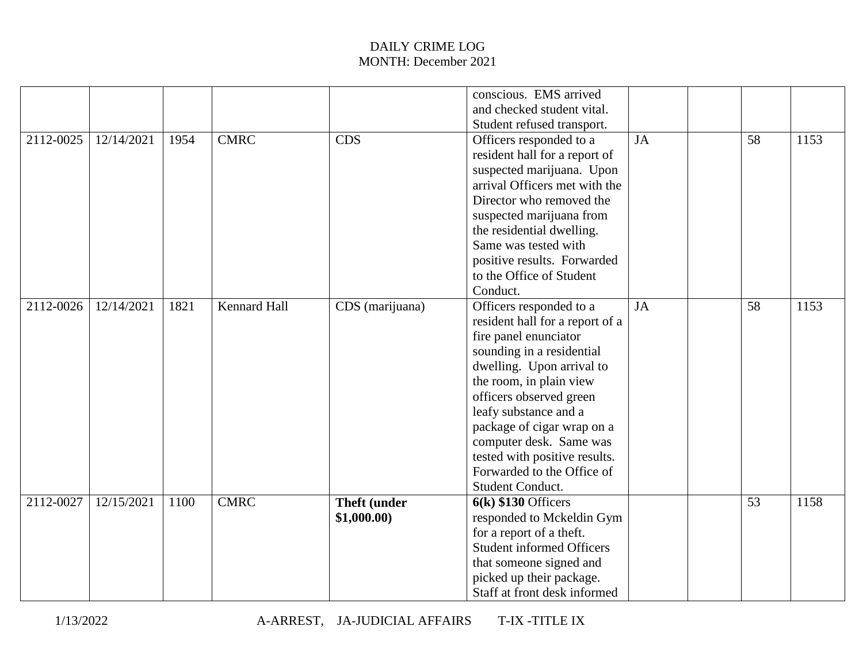|           |            |      |                     |                     | conscious. EMS arrived           |           |    |      |
|-----------|------------|------|---------------------|---------------------|----------------------------------|-----------|----|------|
|           |            |      |                     |                     | and checked student vital.       |           |    |      |
|           |            |      |                     |                     | Student refused transport.       |           |    |      |
| 2112-0025 | 12/14/2021 | 1954 | <b>CMRC</b>         | CDS                 | Officers responded to a          | <b>JA</b> | 58 | 1153 |
|           |            |      |                     |                     | resident hall for a report of    |           |    |      |
|           |            |      |                     |                     | suspected marijuana. Upon        |           |    |      |
|           |            |      |                     |                     | arrival Officers met with the    |           |    |      |
|           |            |      |                     |                     | Director who removed the         |           |    |      |
|           |            |      |                     |                     | suspected marijuana from         |           |    |      |
|           |            |      |                     |                     | the residential dwelling.        |           |    |      |
|           |            |      |                     |                     | Same was tested with             |           |    |      |
|           |            |      |                     |                     | positive results. Forwarded      |           |    |      |
|           |            |      |                     |                     | to the Office of Student         |           |    |      |
|           |            |      |                     |                     | Conduct.                         |           |    |      |
| 2112-0026 | 12/14/2021 | 1821 | <b>Kennard Hall</b> | CDS (marijuana)     | Officers responded to a          | JA        | 58 | 1153 |
|           |            |      |                     |                     | resident hall for a report of a  |           |    |      |
|           |            |      |                     |                     | fire panel enunciator            |           |    |      |
|           |            |      |                     |                     | sounding in a residential        |           |    |      |
|           |            |      |                     |                     | dwelling. Upon arrival to        |           |    |      |
|           |            |      |                     |                     | the room, in plain view          |           |    |      |
|           |            |      |                     |                     | officers observed green          |           |    |      |
|           |            |      |                     |                     | leafy substance and a            |           |    |      |
|           |            |      |                     |                     | package of cigar wrap on a       |           |    |      |
|           |            |      |                     |                     | computer desk. Same was          |           |    |      |
|           |            |      |                     |                     | tested with positive results.    |           |    |      |
|           |            |      |                     |                     | Forwarded to the Office of       |           |    |      |
|           |            |      |                     |                     | Student Conduct.                 |           |    |      |
| 2112-0027 | 12/15/2021 | 1100 | <b>CMRC</b>         | <b>Theft (under</b> | $6(k)$ \$130 Officers            |           | 53 | 1158 |
|           |            |      |                     | \$1,000.00)         | responded to Mckeldin Gym        |           |    |      |
|           |            |      |                     |                     | for a report of a theft.         |           |    |      |
|           |            |      |                     |                     | <b>Student informed Officers</b> |           |    |      |
|           |            |      |                     |                     | that someone signed and          |           |    |      |
|           |            |      |                     |                     | picked up their package.         |           |    |      |
|           |            |      |                     |                     | Staff at front desk informed     |           |    |      |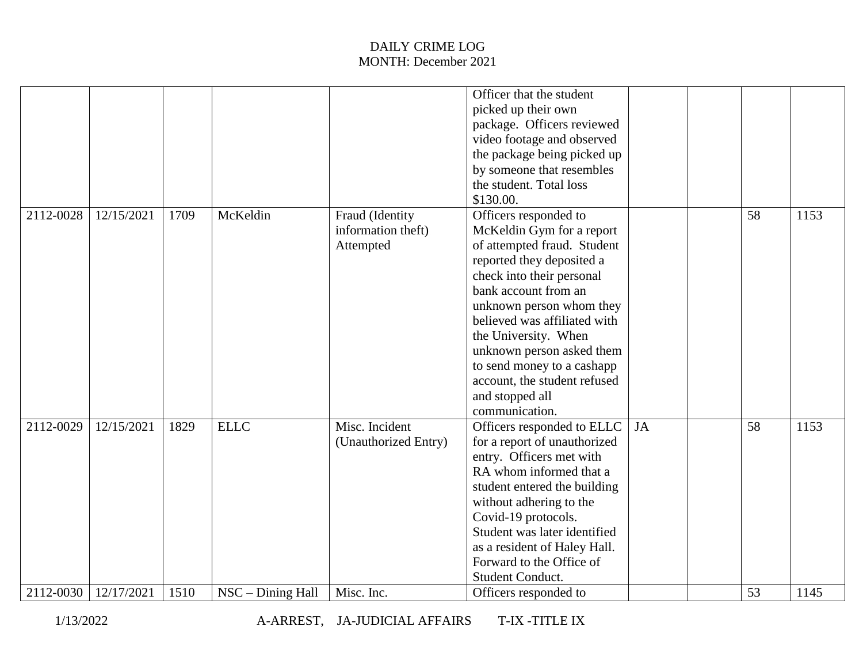|           |            |      |                   |                      | Officer that the student     |    |    |      |
|-----------|------------|------|-------------------|----------------------|------------------------------|----|----|------|
|           |            |      |                   |                      | picked up their own          |    |    |      |
|           |            |      |                   |                      | package. Officers reviewed   |    |    |      |
|           |            |      |                   |                      | video footage and observed   |    |    |      |
|           |            |      |                   |                      | the package being picked up  |    |    |      |
|           |            |      |                   |                      | by someone that resembles    |    |    |      |
|           |            |      |                   |                      | the student. Total loss      |    |    |      |
|           |            |      |                   |                      | \$130.00.                    |    |    |      |
| 2112-0028 | 12/15/2021 | 1709 | McKeldin          | Fraud (Identity      | Officers responded to        |    | 58 | 1153 |
|           |            |      |                   | information theft)   | McKeldin Gym for a report    |    |    |      |
|           |            |      |                   | Attempted            | of attempted fraud. Student  |    |    |      |
|           |            |      |                   |                      | reported they deposited a    |    |    |      |
|           |            |      |                   |                      | check into their personal    |    |    |      |
|           |            |      |                   |                      | bank account from an         |    |    |      |
|           |            |      |                   |                      | unknown person whom they     |    |    |      |
|           |            |      |                   |                      | believed was affiliated with |    |    |      |
|           |            |      |                   |                      | the University. When         |    |    |      |
|           |            |      |                   |                      | unknown person asked them    |    |    |      |
|           |            |      |                   |                      | to send money to a cashapp   |    |    |      |
|           |            |      |                   |                      | account, the student refused |    |    |      |
|           |            |      |                   |                      | and stopped all              |    |    |      |
|           |            |      |                   |                      | communication.               |    |    |      |
| 2112-0029 | 12/15/2021 | 1829 | <b>ELLC</b>       | Misc. Incident       | Officers responded to ELLC   | JA | 58 | 1153 |
|           |            |      |                   | (Unauthorized Entry) | for a report of unauthorized |    |    |      |
|           |            |      |                   |                      | entry. Officers met with     |    |    |      |
|           |            |      |                   |                      | RA whom informed that a      |    |    |      |
|           |            |      |                   |                      | student entered the building |    |    |      |
|           |            |      |                   |                      | without adhering to the      |    |    |      |
|           |            |      |                   |                      | Covid-19 protocols.          |    |    |      |
|           |            |      |                   |                      | Student was later identified |    |    |      |
|           |            |      |                   |                      | as a resident of Haley Hall. |    |    |      |
|           |            |      |                   |                      | Forward to the Office of     |    |    |      |
|           |            |      |                   |                      | Student Conduct.             |    |    |      |
| 2112-0030 | 12/17/2021 | 1510 | NSC - Dining Hall | Misc. Inc.           | Officers responded to        |    | 53 | 1145 |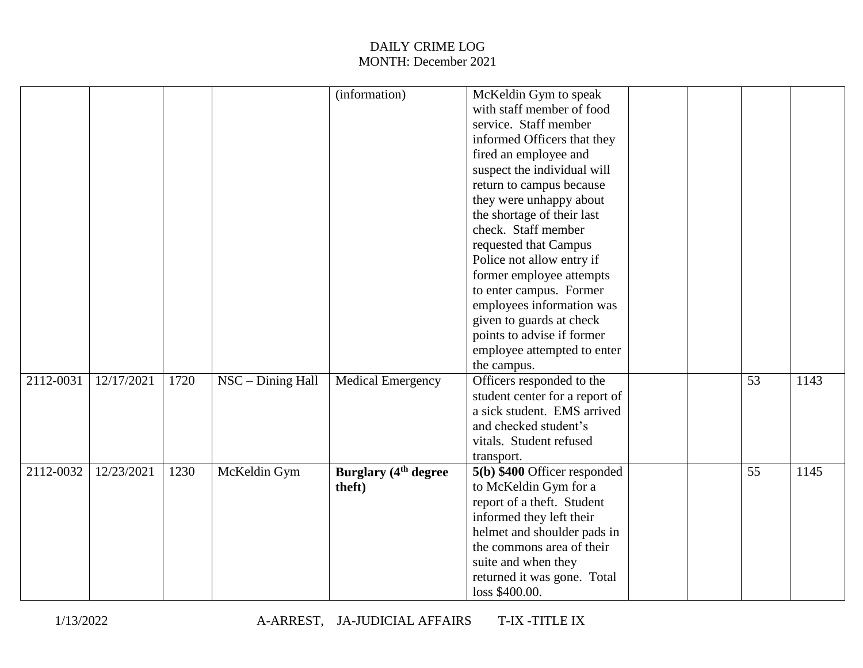|           |            |      |                     | (information)                           | McKeldin Gym to speak          |  |    |      |
|-----------|------------|------|---------------------|-----------------------------------------|--------------------------------|--|----|------|
|           |            |      |                     |                                         | with staff member of food      |  |    |      |
|           |            |      |                     |                                         | service. Staff member          |  |    |      |
|           |            |      |                     |                                         | informed Officers that they    |  |    |      |
|           |            |      |                     |                                         | fired an employee and          |  |    |      |
|           |            |      |                     |                                         | suspect the individual will    |  |    |      |
|           |            |      |                     |                                         | return to campus because       |  |    |      |
|           |            |      |                     |                                         | they were unhappy about        |  |    |      |
|           |            |      |                     |                                         | the shortage of their last     |  |    |      |
|           |            |      |                     |                                         | check. Staff member            |  |    |      |
|           |            |      |                     |                                         | requested that Campus          |  |    |      |
|           |            |      |                     |                                         | Police not allow entry if      |  |    |      |
|           |            |      |                     |                                         | former employee attempts       |  |    |      |
|           |            |      |                     |                                         | to enter campus. Former        |  |    |      |
|           |            |      |                     |                                         | employees information was      |  |    |      |
|           |            |      |                     |                                         | given to guards at check       |  |    |      |
|           |            |      |                     |                                         | points to advise if former     |  |    |      |
|           |            |      |                     |                                         | employee attempted to enter    |  |    |      |
|           |            |      |                     |                                         | the campus.                    |  |    |      |
| 2112-0031 | 12/17/2021 | 1720 | $NSC - Dining Hall$ | Medical Emergency                       | Officers responded to the      |  | 53 | 1143 |
|           |            |      |                     |                                         | student center for a report of |  |    |      |
|           |            |      |                     |                                         | a sick student. EMS arrived    |  |    |      |
|           |            |      |                     |                                         | and checked student's          |  |    |      |
|           |            |      |                     |                                         | vitals. Student refused        |  |    |      |
|           |            |      |                     |                                         | transport.                     |  |    |      |
| 2112-0032 | 12/23/2021 | 1230 | McKeldin Gym        | <b>Burglary</b> (4 <sup>th</sup> degree | 5(b) \$400 Officer responded   |  | 55 | 1145 |
|           |            |      |                     | theft)                                  | to McKeldin Gym for a          |  |    |      |
|           |            |      |                     |                                         | report of a theft. Student     |  |    |      |
|           |            |      |                     |                                         | informed they left their       |  |    |      |
|           |            |      |                     |                                         | helmet and shoulder pads in    |  |    |      |
|           |            |      |                     |                                         | the commons area of their      |  |    |      |
|           |            |      |                     |                                         | suite and when they            |  |    |      |
|           |            |      |                     |                                         | returned it was gone. Total    |  |    |      |
|           |            |      |                     |                                         | loss \$400.00.                 |  |    |      |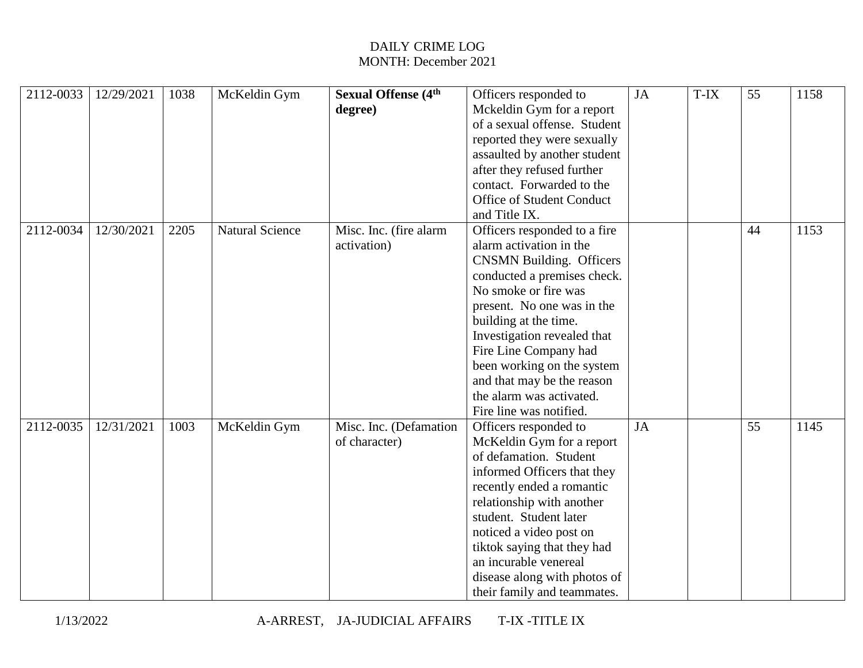| 2112-0033 | 12/29/2021 | 1038 | McKeldin Gym           | <b>Sexual Offense</b> (4 <sup>th</sup><br>degree) | Officers responded to<br>Mckeldin Gym for a report<br>of a sexual offense. Student<br>reported they were sexually<br>assaulted by another student<br>after they refused further<br>contact. Forwarded to the<br>Office of Student Conduct<br>and Title IX.                                                                                                                          | JA | T-IX | 55 | 1158 |
|-----------|------------|------|------------------------|---------------------------------------------------|-------------------------------------------------------------------------------------------------------------------------------------------------------------------------------------------------------------------------------------------------------------------------------------------------------------------------------------------------------------------------------------|----|------|----|------|
| 2112-0034 | 12/30/2021 | 2205 | <b>Natural Science</b> | Misc. Inc. (fire alarm<br>activation)             | Officers responded to a fire<br>alarm activation in the<br><b>CNSMN Building. Officers</b><br>conducted a premises check.<br>No smoke or fire was<br>present. No one was in the<br>building at the time.<br>Investigation revealed that<br>Fire Line Company had<br>been working on the system<br>and that may be the reason<br>the alarm was activated.<br>Fire line was notified. |    |      | 44 | 1153 |
| 2112-0035 | 12/31/2021 | 1003 | McKeldin Gym           | Misc. Inc. (Defamation<br>of character)           | Officers responded to<br>McKeldin Gym for a report<br>of defamation. Student<br>informed Officers that they<br>recently ended a romantic<br>relationship with another<br>student. Student later<br>noticed a video post on<br>tiktok saying that they had<br>an incurable venereal<br>disease along with photos of<br>their family and teammates.                                   | JA |      | 55 | 1145 |

1/13/2022 A-ARREST, JA-JUDICIAL AFFAIRS T-IX -TITLE IX